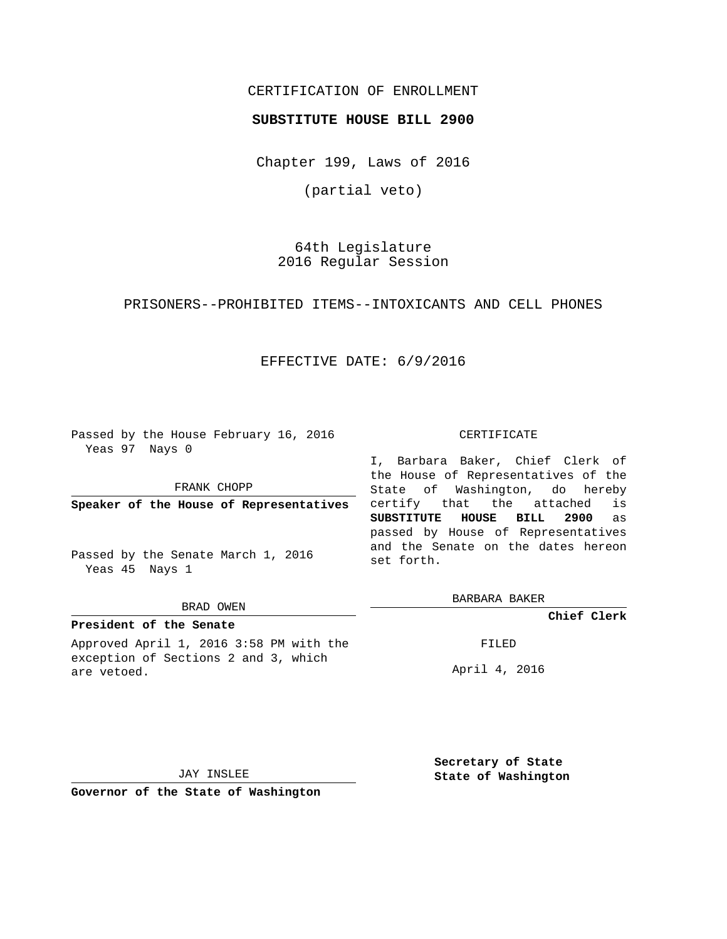# CERTIFICATION OF ENROLLMENT

## **SUBSTITUTE HOUSE BILL 2900**

Chapter 199, Laws of 2016

(partial veto)

64th Legislature 2016 Regular Session

PRISONERS--PROHIBITED ITEMS--INTOXICANTS AND CELL PHONES

# EFFECTIVE DATE: 6/9/2016

Passed by the House February 16, 2016 Yeas 97 Nays 0

FRANK CHOPP

**Speaker of the House of Representatives**

Passed by the Senate March 1, 2016 Yeas 45 Nays 1

### BRAD OWEN

# **President of the Senate**

Approved April 1, 2016 3:58 PM with the exception of Sections 2 and 3, which are vetoed.

#### CERTIFICATE

I, Barbara Baker, Chief Clerk of the House of Representatives of the State of Washington, do hereby certify that the attached is **SUBSTITUTE HOUSE BILL 2900** as passed by House of Representatives and the Senate on the dates hereon set forth.

BARBARA BAKER

**Chief Clerk**

FILED

April 4, 2016

JAY INSLEE

**Governor of the State of Washington**

**Secretary of State State of Washington**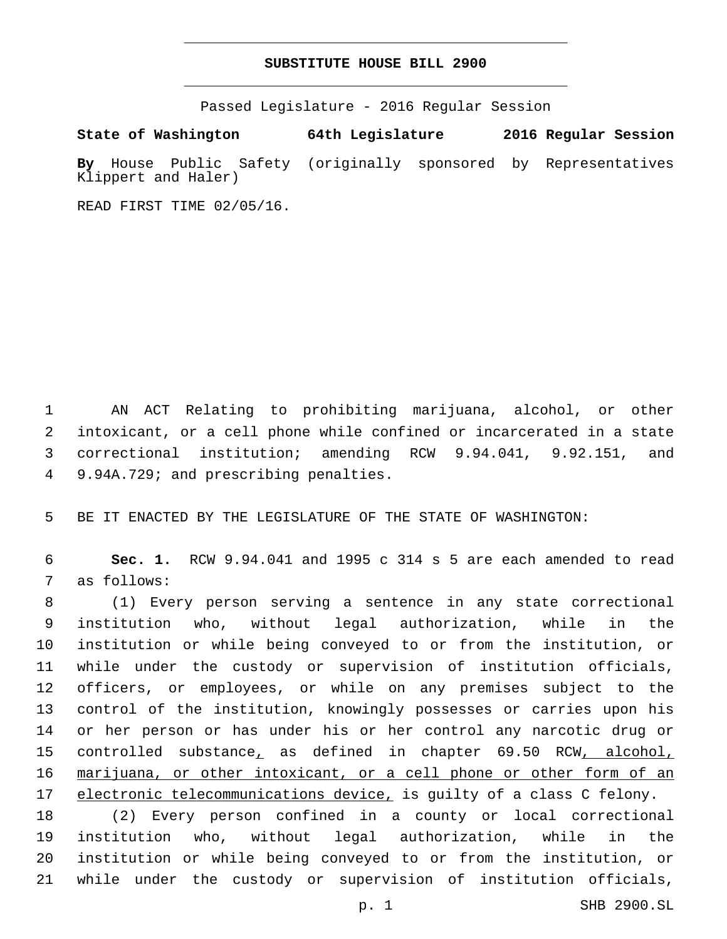## **SUBSTITUTE HOUSE BILL 2900**

Passed Legislature - 2016 Regular Session

**State of Washington 64th Legislature 2016 Regular Session By** House Public Safety (originally sponsored by Representatives Klippert and Haler)

READ FIRST TIME 02/05/16.

 AN ACT Relating to prohibiting marijuana, alcohol, or other intoxicant, or a cell phone while confined or incarcerated in a state correctional institution; amending RCW 9.94.041, 9.92.151, and 9.94A.729; and prescribing penalties.4

BE IT ENACTED BY THE LEGISLATURE OF THE STATE OF WASHINGTON:

 **Sec. 1.** RCW 9.94.041 and 1995 c 314 s 5 are each amended to read 7 as follows:

 (1) Every person serving a sentence in any state correctional institution who, without legal authorization, while in the institution or while being conveyed to or from the institution, or while under the custody or supervision of institution officials, officers, or employees, or while on any premises subject to the control of the institution, knowingly possesses or carries upon his or her person or has under his or her control any narcotic drug or 15 controlled substance, as defined in chapter 69.50 RCW, alcohol, marijuana, or other intoxicant, or a cell phone or other form of an 17 electronic telecommunications device, is guilty of a class C felony.

 (2) Every person confined in a county or local correctional institution who, without legal authorization, while in the institution or while being conveyed to or from the institution, or while under the custody or supervision of institution officials,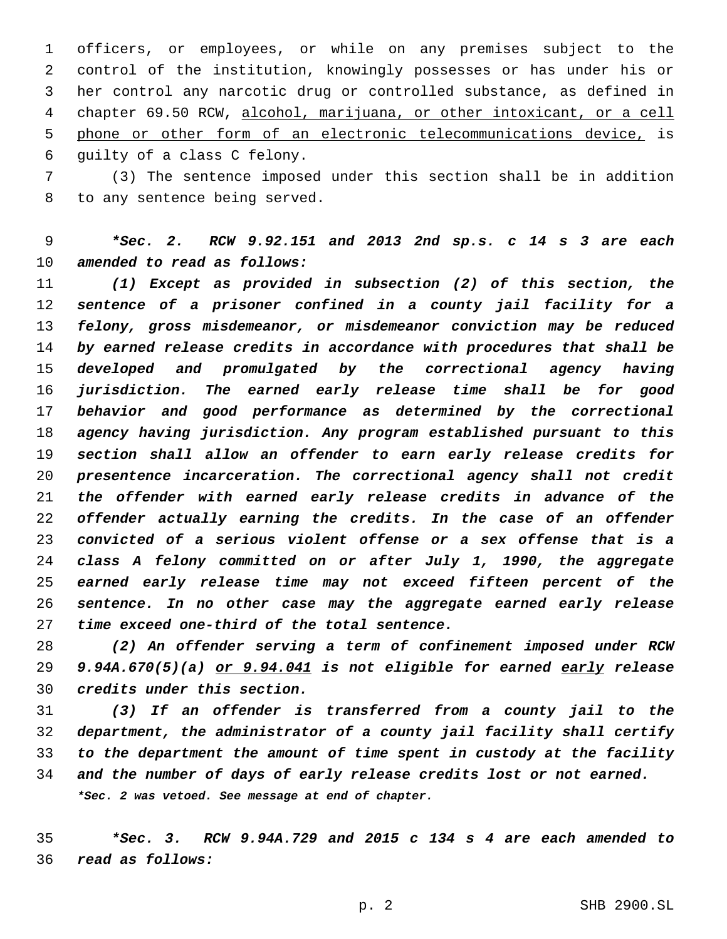officers, or employees, or while on any premises subject to the control of the institution, knowingly possesses or has under his or her control any narcotic drug or controlled substance, as defined in chapter 69.50 RCW, alcohol, marijuana, or other intoxicant, or a cell phone or other form of an electronic telecommunications device, is 6 guilty of a class C felony.

 (3) The sentence imposed under this section shall be in addition 8 to any sentence being served.

 *\*Sec. 2. RCW 9.92.151 and 2013 2nd sp.s. c 14 s 3 are each amended to read as follows:*

 *(1) Except as provided in subsection (2) of this section, the sentence of a prisoner confined in a county jail facility for a felony, gross misdemeanor, or misdemeanor conviction may be reduced by earned release credits in accordance with procedures that shall be developed and promulgated by the correctional agency having jurisdiction. The earned early release time shall be for good behavior and good performance as determined by the correctional agency having jurisdiction. Any program established pursuant to this section shall allow an offender to earn early release credits for presentence incarceration. The correctional agency shall not credit the offender with earned early release credits in advance of the offender actually earning the credits. In the case of an offender convicted of a serious violent offense or a sex offense that is a class A felony committed on or after July 1, 1990, the aggregate earned early release time may not exceed fifteen percent of the sentence. In no other case may the aggregate earned early release time exceed one-third of the total sentence.*

 *(2) An offender serving a term of confinement imposed under RCW 9.94A.670(5)(a) or 9.94.041 is not eligible for earned early release credits under this section.*

 *(3) If an offender is transferred from a county jail to the department, the administrator of a county jail facility shall certify to the department the amount of time spent in custody at the facility and the number of days of early release credits lost or not earned. \*Sec. 2 was vetoed. See message at end of chapter.*

 *\*Sec. 3. RCW 9.94A.729 and 2015 c 134 s 4 are each amended to read as follows:*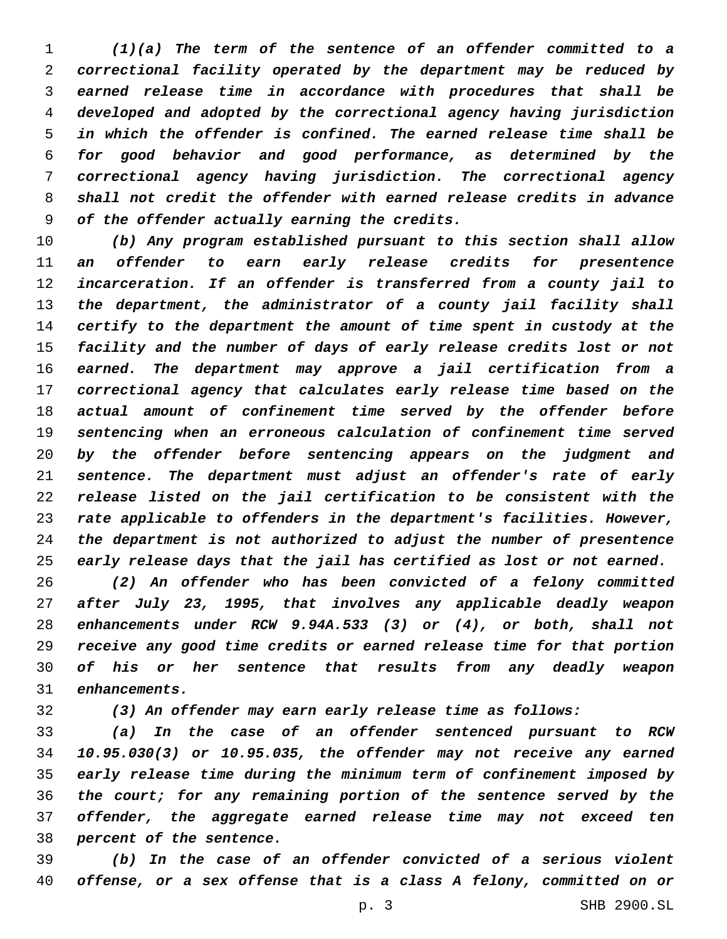*(1)(a) The term of the sentence of an offender committed to a correctional facility operated by the department may be reduced by earned release time in accordance with procedures that shall be developed and adopted by the correctional agency having jurisdiction in which the offender is confined. The earned release time shall be for good behavior and good performance, as determined by the correctional agency having jurisdiction. The correctional agency shall not credit the offender with earned release credits in advance of the offender actually earning the credits.*

 *(b) Any program established pursuant to this section shall allow an offender to earn early release credits for presentence incarceration. If an offender is transferred from a county jail to the department, the administrator of a county jail facility shall certify to the department the amount of time spent in custody at the facility and the number of days of early release credits lost or not earned. The department may approve a jail certification from a correctional agency that calculates early release time based on the actual amount of confinement time served by the offender before sentencing when an erroneous calculation of confinement time served by the offender before sentencing appears on the judgment and sentence. The department must adjust an offender's rate of early release listed on the jail certification to be consistent with the rate applicable to offenders in the department's facilities. However, the department is not authorized to adjust the number of presentence early release days that the jail has certified as lost or not earned.*

 *(2) An offender who has been convicted of a felony committed after July 23, 1995, that involves any applicable deadly weapon enhancements under RCW 9.94A.533 (3) or (4), or both, shall not receive any good time credits or earned release time for that portion of his or her sentence that results from any deadly weapon enhancements.*

*(3) An offender may earn early release time as follows:*

 *(a) In the case of an offender sentenced pursuant to RCW 10.95.030(3) or 10.95.035, the offender may not receive any earned early release time during the minimum term of confinement imposed by the court; for any remaining portion of the sentence served by the offender, the aggregate earned release time may not exceed ten percent of the sentence.*

 *(b) In the case of an offender convicted of a serious violent offense, or a sex offense that is a class A felony, committed on or*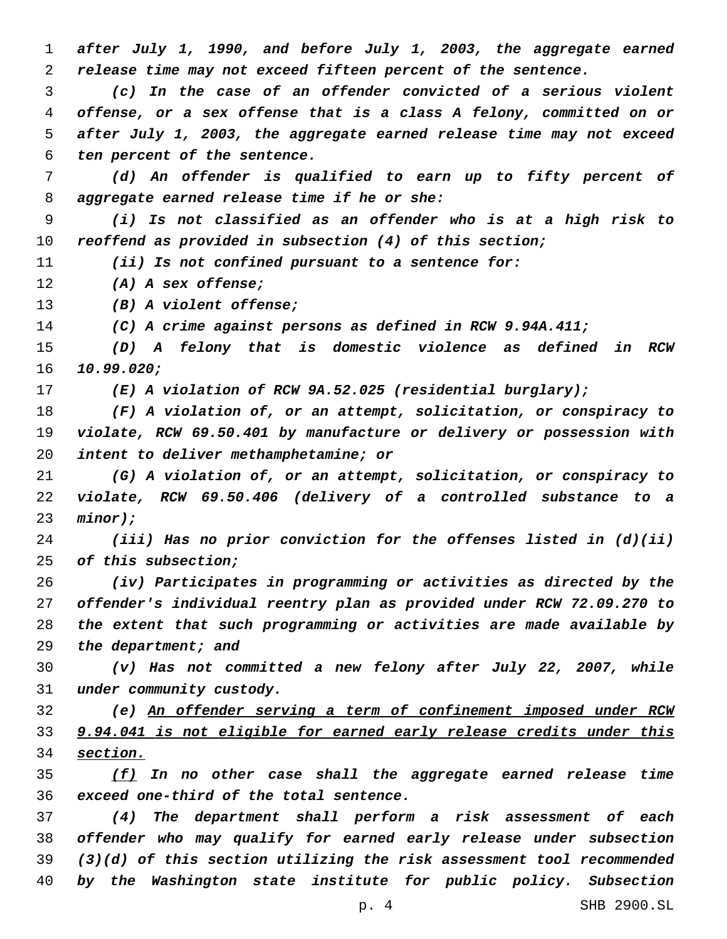*after July 1, 1990, and before July 1, 2003, the aggregate earned release time may not exceed fifteen percent of the sentence.*

 *(c) In the case of an offender convicted of a serious violent offense, or a sex offense that is a class A felony, committed on or after July 1, 2003, the aggregate earned release time may not exceed ten percent of the sentence.*

 *(d) An offender is qualified to earn up to fifty percent of aggregate earned release time if he or she:*

 *(i) Is not classified as an offender who is at a high risk to reoffend as provided in subsection (4) of this section;*

*(ii) Is not confined pursuant to a sentence for:*

*(A) A sex offense;*

*(B) A violent offense;*

*(C) A crime against persons as defined in RCW 9.94A.411;*

 *(D) A felony that is domestic violence as defined in RCW 10.99.020;*

*(E) A violation of RCW 9A.52.025 (residential burglary);*

 *(F) A violation of, or an attempt, solicitation, or conspiracy to violate, RCW 69.50.401 by manufacture or delivery or possession with intent to deliver methamphetamine; or*

 *(G) A violation of, or an attempt, solicitation, or conspiracy to violate, RCW 69.50.406 (delivery of a controlled substance to a minor);*

 *(iii) Has no prior conviction for the offenses listed in (d)(ii) of this subsection;*

 *(iv) Participates in programming or activities as directed by the offender's individual reentry plan as provided under RCW 72.09.270 to the extent that such programming or activities are made available by the department; and*

 *(v) Has not committed a new felony after July 22, 2007, while under community custody.*

 *(e) An offender serving a term of confinement imposed under RCW 9.94.041 is not eligible for earned early release credits under this section.*

 *(f) In no other case shall the aggregate earned release time exceed one-third of the total sentence.*

 *(4) The department shall perform a risk assessment of each offender who may qualify for earned early release under subsection (3)(d) of this section utilizing the risk assessment tool recommended by the Washington state institute for public policy. Subsection*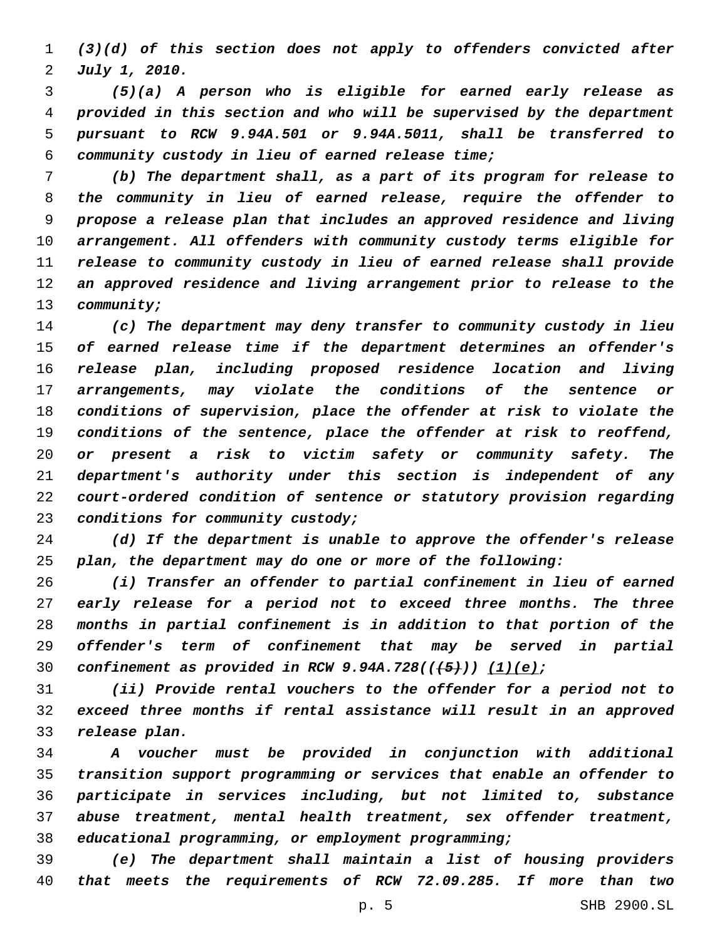*(3)(d) of this section does not apply to offenders convicted after July 1, 2010.*

 *(5)(a) A person who is eligible for earned early release as provided in this section and who will be supervised by the department pursuant to RCW 9.94A.501 or 9.94A.5011, shall be transferred to community custody in lieu of earned release time;*

 *(b) The department shall, as a part of its program for release to the community in lieu of earned release, require the offender to propose a release plan that includes an approved residence and living arrangement. All offenders with community custody terms eligible for release to community custody in lieu of earned release shall provide an approved residence and living arrangement prior to release to the community;*

 *(c) The department may deny transfer to community custody in lieu of earned release time if the department determines an offender's release plan, including proposed residence location and living arrangements, may violate the conditions of the sentence or conditions of supervision, place the offender at risk to violate the conditions of the sentence, place the offender at risk to reoffend, or present a risk to victim safety or community safety. The department's authority under this section is independent of any court-ordered condition of sentence or statutory provision regarding conditions for community custody;*

 *(d) If the department is unable to approve the offender's release plan, the department may do one or more of the following:*

 *(i) Transfer an offender to partial confinement in lieu of earned early release for a period not to exceed three months. The three months in partial confinement is in addition to that portion of the offender's term of confinement that may be served in partial confinement as provided in RCW 9.94A.728(((5))) (1)(e);*

 *(ii) Provide rental vouchers to the offender for a period not to exceed three months if rental assistance will result in an approved release plan.*

 *A voucher must be provided in conjunction with additional transition support programming or services that enable an offender to participate in services including, but not limited to, substance abuse treatment, mental health treatment, sex offender treatment, educational programming, or employment programming;*

 *(e) The department shall maintain a list of housing providers that meets the requirements of RCW 72.09.285. If more than two*